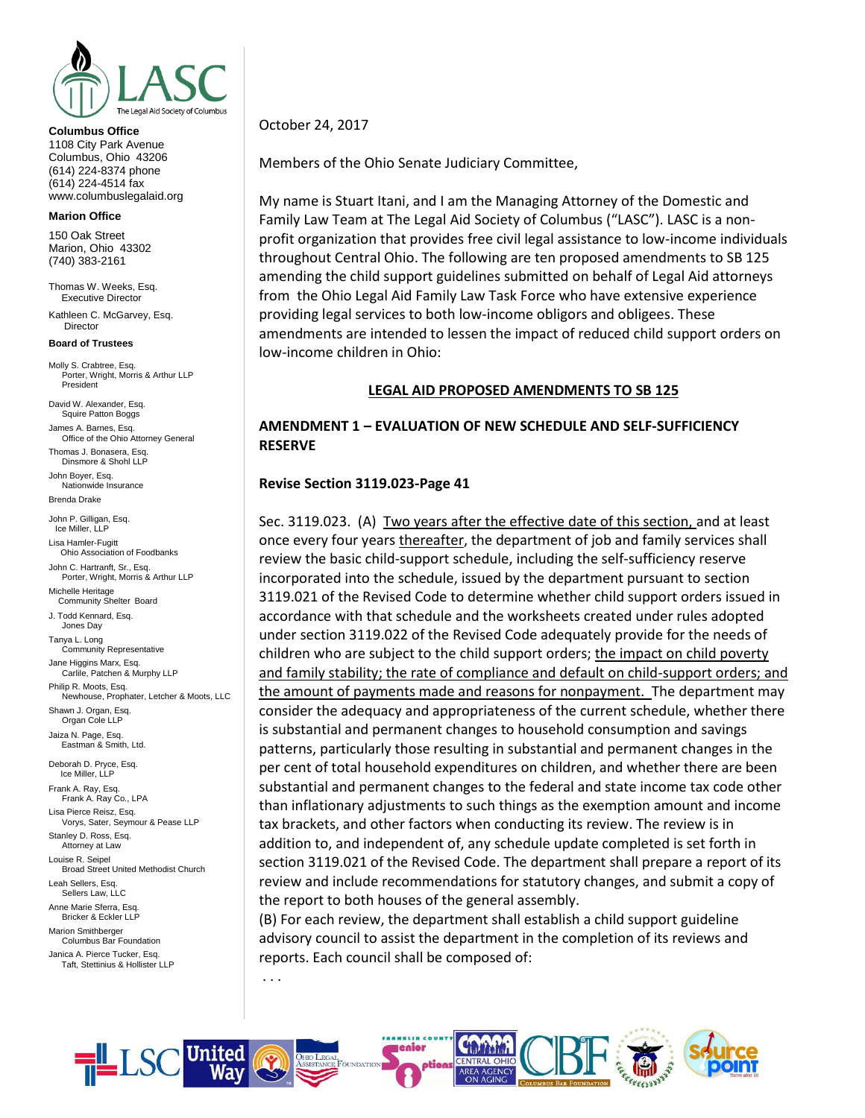

#### **Columbus Office**

1108 City Park Avenue Columbus, Ohio 43206 (614) 224-8374 phone (614) 224-4514 fax www.columbuslegalaid.org

#### **Marion Office**

150 Oak Street Marion, Ohio 43302 (740) 383-2161

Thomas W. Weeks, Esq. Executive Director

Kathleen C. McGarvey, Esq. Director

#### **Board of Trustees**

Molly S. Crabtree, Esq. Porter, Wright, Morris & Arthur LLP President

David W. Alexander, Esq. Squire Patton Boggs James A. Barnes, Esq.

Office of the Ohio Attorney General Thomas J. Bonasera, Esq.

Dinsmore & Shohl LLP John Boyer, Esq. Nationwide Insurance

Brenda Drake

John P. Gilligan, Esq. Ice Miller, LLP

Lisa Hamler-Fugitt Ohio Association of Foodbanks John C. Hartranft, Sr., Esq. Porter, Wright, Morris & Arthur LLP Michelle Heritage Community Shelter Board J. Todd Kennard, Esq. Jones Day Tanya L. Long Community Representative Jane Higgins Marx, Esq. Carlile, Patchen & Murphy LLP Philip R. Moots, Esq. Newhouse, Prophater, Letcher & Moots, LLC Shawn J. Organ, Esq. Organ Cole LLP Jaiza N. Page, Esq. Eastman & Smith, Ltd. Deborah D. Pryce, Esq. Ice Miller, LLP

Frank A. Ray, Esq. Frank A. Ray Co., LPA Lisa Pierce Reisz, Esq. Vorys, Sater, Seymour & Pease LLP Stanley D. Ross, Esq. Attorney at Law Louise R. Seipel Broad Street United Methodist Church Leah Sellers, Esq. Sellers Law, LLC Anne Marie Sferra, Esq. Bricker & Eckler LLP Marion Smithberger Columbus Bar Foundation

Janica A. Pierce Tucker, Esq. Taft, Stettinius & Hollister LLP October 24, 2017

Members of the Ohio Senate Judiciary Committee,

My name is Stuart Itani, and I am the Managing Attorney of the Domestic and Family Law Team at The Legal Aid Society of Columbus ("LASC"). LASC is a nonprofit organization that provides free civil legal assistance to low-income individuals throughout Central Ohio. The following are ten proposed amendments to SB 125 amending the child support guidelines submitted on behalf of Legal Aid attorneys from the Ohio Legal Aid Family Law Task Force who have extensive experience providing legal services to both low-income obligors and obligees. These amendments are intended to lessen the impact of reduced child support orders on low-income children in Ohio:

#### **LEGAL AID PROPOSED AMENDMENTS TO SB 125**

### **AMENDMENT 1 – EVALUATION OF NEW SCHEDULE AND SELF-SUFFICIENCY RESERVE**

#### **Revise Section 3119.023-Page 41**

Sec. 3119.023. (A) Two years after the effective date of this section, and at least once every four years thereafter, the department of job and family services shall review the basic child-support schedule, including the self-sufficiency reserve incorporated into the schedule, issued by the department pursuant to section 3119.021 of the Revised Code to determine whether child support orders issued in accordance with that schedule and the worksheets created under rules adopted under section 3119.022 of the Revised Code adequately provide for the needs of children who are subject to the child support orders; the impact on child poverty and family stability; the rate of compliance and default on child-support orders; and the amount of payments made and reasons for nonpayment. The department may consider the adequacy and appropriateness of the current schedule, whether there is substantial and permanent changes to household consumption and savings patterns, particularly those resulting in substantial and permanent changes in the per cent of total household expenditures on children, and whether there are been substantial and permanent changes to the federal and state income tax code other than inflationary adjustments to such things as the exemption amount and income tax brackets, and other factors when conducting its review. The review is in addition to, and independent of, any schedule update completed is set forth in section 3119.021 of the Revised Code. The department shall prepare a report of its review and include recommendations for statutory changes, and submit a copy of the report to both houses of the general assembly.

(B) For each review, the department shall establish a child support guideline advisory council to assist the department in the completion of its reviews and reports. Each council shall be composed of:

. . .

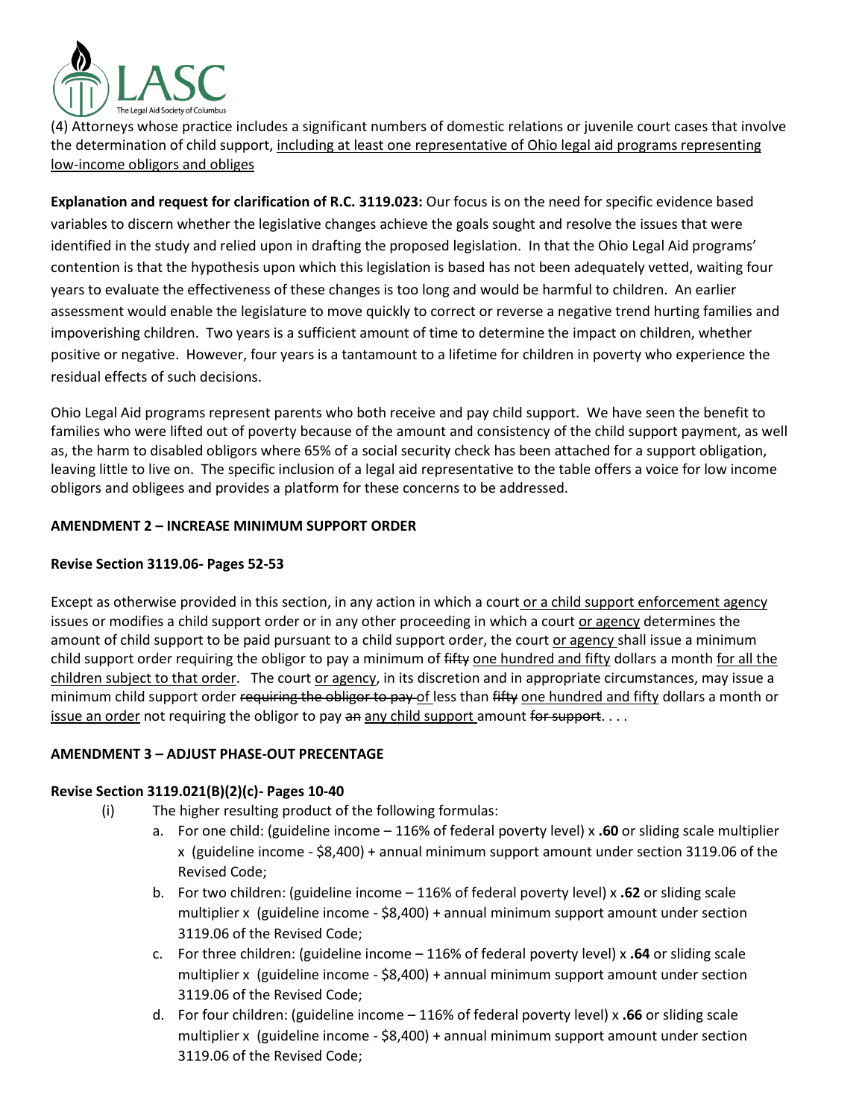

(4) Attorneys whose practice includes a significant numbers of domestic relations or juvenile court cases that involve the determination of child support, including at least one representative of Ohio legal aid programs representing low-income obligors and obliges

**Explanation and request for clarification of R.C. 3119.023:** Our focus is on the need for specific evidence based variables to discern whether the legislative changes achieve the goals sought and resolve the issues that were identified in the study and relied upon in drafting the proposed legislation. In that the Ohio Legal Aid programs' contention is that the hypothesis upon which this legislation is based has not been adequately vetted, waiting four years to evaluate the effectiveness of these changes is too long and would be harmful to children. An earlier assessment would enable the legislature to move quickly to correct or reverse a negative trend hurting families and impoverishing children. Two years is a sufficient amount of time to determine the impact on children, whether positive or negative. However, four years is a tantamount to a lifetime for children in poverty who experience the residual effects of such decisions.

Ohio Legal Aid programs represent parents who both receive and pay child support. We have seen the benefit to families who were lifted out of poverty because of the amount and consistency of the child support payment, as well as, the harm to disabled obligors where 65% of a social security check has been attached for a support obligation, leaving little to live on. The specific inclusion of a legal aid representative to the table offers a voice for low income obligors and obligees and provides a platform for these concerns to be addressed.

## **AMENDMENT 2 – INCREASE MINIMUM SUPPORT ORDER**

## **Revise Section 3119.06- Pages 52-53**

Except as otherwise provided in this section, in any action in which a court or a child support enforcement agency issues or modifies a child support order or in any other proceeding in which a court or agency determines the amount of child support to be paid pursuant to a child support order, the court or agency shall issue a minimum child support order requiring the obligor to pay a minimum of fifty one hundred and fifty dollars a month for all the children subject to that order. The court or agency, in its discretion and in appropriate circumstances, may issue a minimum child support order requiring the obligor to pay of less than fifty one hundred and fifty dollars a month or issue an order not requiring the obligor to pay an any child support amount for support....

### **AMENDMENT 3 – ADJUST PHASE-OUT PRECENTAGE**

## **Revise Section 3119.021(B)(2)(c)- Pages 10-40**

- (i) The higher resulting product of the following formulas:
	- a. For one child: (guideline income 116% of federal poverty level) x **.60** or sliding scale multiplier x (guideline income - \$8,400) + annual minimum support amount under section 3119.06 of the Revised Code;
	- b. For two children: (guideline income 116% of federal poverty level) x **.62** or sliding scale multiplier x (guideline income - \$8,400) + annual minimum support amount under section 3119.06 of the Revised Code;
	- c. For three children: (guideline income 116% of federal poverty level) x **.64** or sliding scale multiplier x (guideline income - \$8,400) + annual minimum support amount under section 3119.06 of the Revised Code;
	- d. For four children: (guideline income 116% of federal poverty level) x **.66** or sliding scale multiplier x (guideline income - \$8,400) + annual minimum support amount under section 3119.06 of the Revised Code;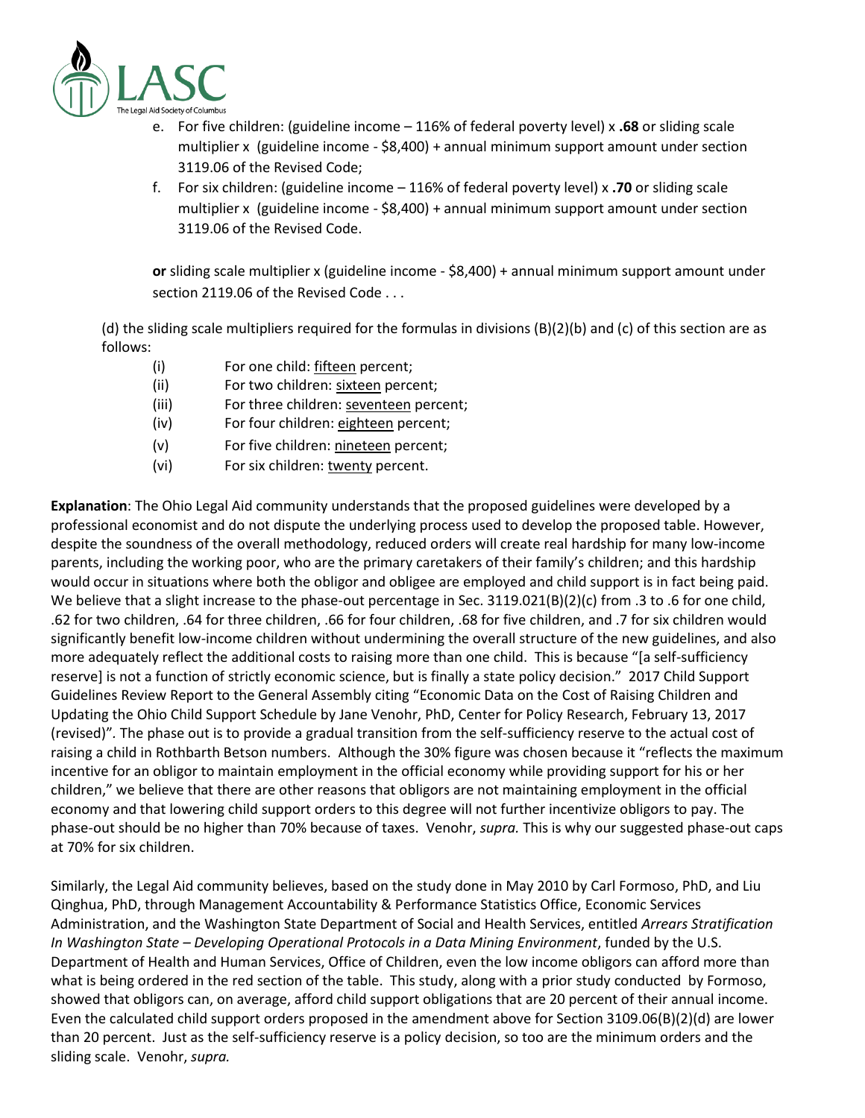

- e. For five children: (guideline income 116% of federal poverty level) x **.68** or sliding scale multiplier x (guideline income - \$8,400) + annual minimum support amount under section 3119.06 of the Revised Code;
- f. For six children: (guideline income 116% of federal poverty level) x **.70** or sliding scale multiplier x (guideline income - \$8,400) + annual minimum support amount under section 3119.06 of the Revised Code.

**or** sliding scale multiplier x (guideline income - \$8,400) + annual minimum support amount under section 2119.06 of the Revised Code . . .

(d) the sliding scale multipliers required for the formulas in divisions (B)(2)(b) and (c) of this section are as follows:

- (i) For one child: fifteen percent;
- (ii) For two children: sixteen percent;
- (iii) For three children: seventeen percent;
- (iv) For four children: eighteen percent;
- (v) For five children: nineteen percent;
- (vi) For six children: twenty percent.

**Explanation**: The Ohio Legal Aid community understands that the proposed guidelines were developed by a professional economist and do not dispute the underlying process used to develop the proposed table. However, despite the soundness of the overall methodology, reduced orders will create real hardship for many low-income parents, including the working poor, who are the primary caretakers of their family's children; and this hardship would occur in situations where both the obligor and obligee are employed and child support is in fact being paid. We believe that a slight increase to the phase-out percentage in Sec. 3119.021(B)(2)(c) from .3 to .6 for one child, .62 for two children, .64 for three children, .66 for four children, .68 for five children, and .7 for six children would significantly benefit low-income children without undermining the overall structure of the new guidelines, and also more adequately reflect the additional costs to raising more than one child. This is because "[a self-sufficiency reserve] is not a function of strictly economic science, but is finally a state policy decision." 2017 Child Support Guidelines Review Report to the General Assembly citing "Economic Data on the Cost of Raising Children and Updating the Ohio Child Support Schedule by Jane Venohr, PhD, Center for Policy Research, February 13, 2017 (revised)"*.* The phase out is to provide a gradual transition from the self-sufficiency reserve to the actual cost of raising a child in Rothbarth Betson numbers.Although the 30% figure was chosen because it "reflects the maximum incentive for an obligor to maintain employment in the official economy while providing support for his or her children," we believe that there are other reasons that obligors are not maintaining employment in the official economy and that lowering child support orders to this degree will not further incentivize obligors to pay. The phase-out should be no higher than 70% because of taxes. Venohr, *supra.* This is why our suggested phase-out caps at 70% for six children.

Similarly, the Legal Aid community believes, based on the study done in May 2010 by Carl Formoso, PhD, and Liu Qinghua, PhD, through Management Accountability & Performance Statistics Office, Economic Services Administration, and the Washington State Department of Social and Health Services, entitled *Arrears Stratification In Washington State – Developing Operational Protocols in a Data Mining Environment*, funded by the U.S. Department of Health and Human Services, Office of Children, even the low income obligors can afford more than what is being ordered in the red section of the table. This study, along with a prior study conducted by Formoso, showed that obligors can, on average, afford child support obligations that are 20 percent of their annual income. Even the calculated child support orders proposed in the amendment above for Section 3109.06(B)(2)(d) are lower than 20 percent. Just as the self-sufficiency reserve is a policy decision, so too are the minimum orders and the sliding scale. Venohr, *supra.*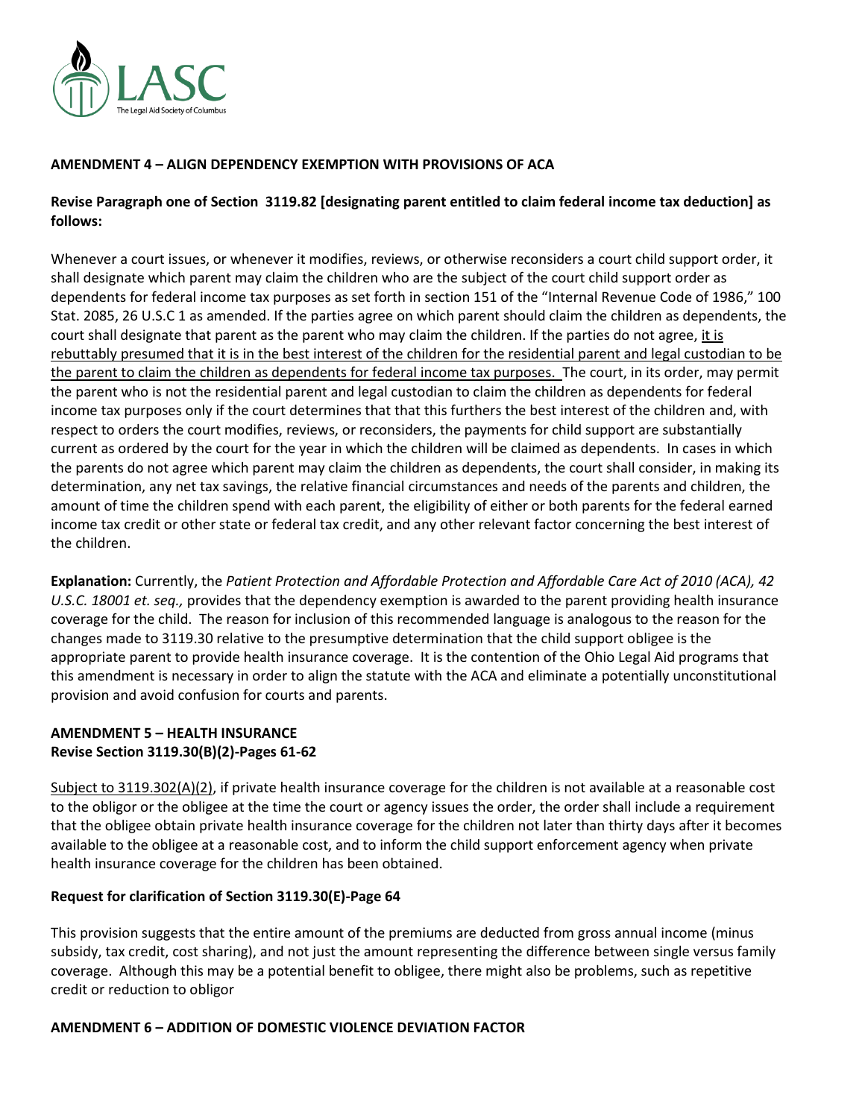

## **AMENDMENT 4 – ALIGN DEPENDENCY EXEMPTION WITH PROVISIONS OF ACA**

## **Revise Paragraph one of Section 3119.82 [designating parent entitled to claim federal income tax deduction] as follows:**

Whenever a court issues, or whenever it modifies, reviews, or otherwise reconsiders a court child support order, it shall designate which parent may claim the children who are the subject of the court child support order as dependents for federal income tax purposes as set forth in section 151 of the "Internal Revenue Code of 1986," 100 Stat. 2085, 26 U.S.C 1 as amended. If the parties agree on which parent should claim the children as dependents, the court shall designate that parent as the parent who may claim the children. If the parties do not agree, it is rebuttably presumed that it is in the best interest of the children for the residential parent and legal custodian to be the parent to claim the children as dependents for federal income tax purposes. The court, in its order, may permit the parent who is not the residential parent and legal custodian to claim the children as dependents for federal income tax purposes only if the court determines that that this furthers the best interest of the children and, with respect to orders the court modifies, reviews, or reconsiders, the payments for child support are substantially current as ordered by the court for the year in which the children will be claimed as dependents. In cases in which the parents do not agree which parent may claim the children as dependents, the court shall consider, in making its determination, any net tax savings, the relative financial circumstances and needs of the parents and children, the amount of time the children spend with each parent, the eligibility of either or both parents for the federal earned income tax credit or other state or federal tax credit, and any other relevant factor concerning the best interest of the children.

**Explanation:** Currently, the *Patient Protection and Affordable Protection and Affordable Care Act of 2010 (ACA), 42 U.S.C. 18001 et. seq.,* provides that the dependency exemption is awarded to the parent providing health insurance coverage for the child. The reason for inclusion of this recommended language is analogous to the reason for the changes made to 3119.30 relative to the presumptive determination that the child support obligee is the appropriate parent to provide health insurance coverage. It is the contention of the Ohio Legal Aid programs that this amendment is necessary in order to align the statute with the ACA and eliminate a potentially unconstitutional provision and avoid confusion for courts and parents.

## **AMENDMENT 5 – HEALTH INSURANCE Revise Section 3119.30(B)(2)-Pages 61-62**

Subject to 3119.302(A)(2), if private health insurance coverage for the children is not available at a reasonable cost to the obligor or the obligee at the time the court or agency issues the order, the order shall include a requirement that the obligee obtain private health insurance coverage for the children not later than thirty days after it becomes available to the obligee at a reasonable cost, and to inform the child support enforcement agency when private health insurance coverage for the children has been obtained.

### **Request for clarification of Section 3119.30(E)-Page 64**

This provision suggests that the entire amount of the premiums are deducted from gross annual income (minus subsidy, tax credit, cost sharing), and not just the amount representing the difference between single versus family coverage. Although this may be a potential benefit to obligee, there might also be problems, such as repetitive credit or reduction to obligor

### **AMENDMENT 6 – ADDITION OF DOMESTIC VIOLENCE DEVIATION FACTOR**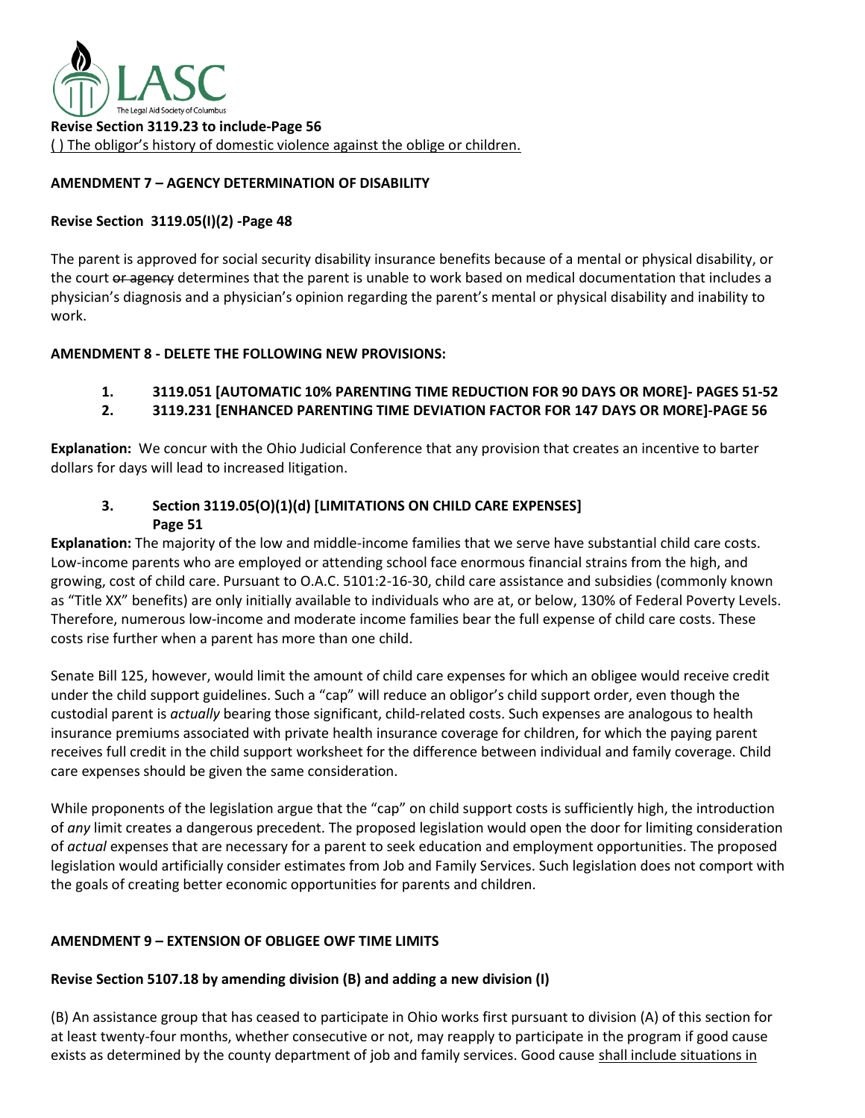

## **AMENDMENT 7 – AGENCY DETERMINATION OF DISABILITY**

### **Revise Section 3119.05(I)(2) -Page 48**

The parent is approved for social security disability insurance benefits because of a mental or physical disability, or the court or agency determines that the parent is unable to work based on medical documentation that includes a physician's diagnosis and a physician's opinion regarding the parent's mental or physical disability and inability to work.

## **AMENDMENT 8 - DELETE THE FOLLOWING NEW PROVISIONS:**

# **1. 3119.051 [AUTOMATIC 10% PARENTING TIME REDUCTION FOR 90 DAYS OR MORE]- PAGES 51-52**

## **2. 3119.231 [ENHANCED PARENTING TIME DEVIATION FACTOR FOR 147 DAYS OR MORE]-PAGE 56**

**Explanation:** We concur with the Ohio Judicial Conference that any provision that creates an incentive to barter dollars for days will lead to increased litigation.

## **3. Section 3119.05(O)(1)(d) [LIMITATIONS ON CHILD CARE EXPENSES] Page 51**

**Explanation:** The majority of the low and middle-income families that we serve have substantial child care costs. Low-income parents who are employed or attending school face enormous financial strains from the high, and growing, cost of child care. Pursuant to O.A.C. 5101:2-16-30, child care assistance and subsidies (commonly known as "Title XX" benefits) are only initially available to individuals who are at, or below, 130% of Federal Poverty Levels. Therefore, numerous low-income and moderate income families bear the full expense of child care costs. These costs rise further when a parent has more than one child.

Senate Bill 125, however, would limit the amount of child care expenses for which an obligee would receive credit under the child support guidelines. Such a "cap" will reduce an obligor's child support order, even though the custodial parent is *actually* bearing those significant, child-related costs. Such expenses are analogous to health insurance premiums associated with private health insurance coverage for children, for which the paying parent receives full credit in the child support worksheet for the difference between individual and family coverage. Child care expenses should be given the same consideration.

While proponents of the legislation argue that the "cap" on child support costs is sufficiently high, the introduction of *any* limit creates a dangerous precedent. The proposed legislation would open the door for limiting consideration of *actual* expenses that are necessary for a parent to seek education and employment opportunities. The proposed legislation would artificially consider estimates from Job and Family Services. Such legislation does not comport with the goals of creating better economic opportunities for parents and children.

## **AMENDMENT 9 – EXTENSION OF OBLIGEE OWF TIME LIMITS**

### **Revise Section 5107.18 by amending division (B) and adding a new division (I)**

(B) An assistance group that has ceased to participate in Ohio works first pursuant to division (A) of this section for at least twenty-four months, whether consecutive or not, may reapply to participate in the program if good cause exists as determined by the county department of job and family services. Good cause shall include situations in